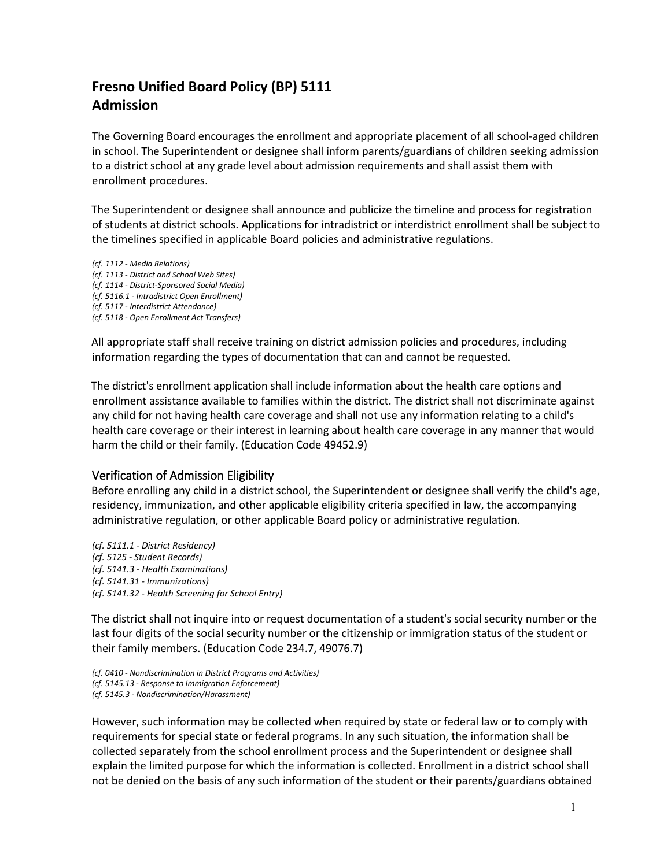## **Fresno Unified Board Policy (BP) 5111 Admission**

The Governing Board encourages the enrollment and appropriate placement of all school-aged children in school. The Superintendent or designee shall inform parents/guardians of children seeking admission to a district school at any grade level about admission requirements and shall assist them with enrollment procedures.

The Superintendent or designee shall announce and publicize the timeline and process for registration of students at district schools. Applications for intradistrict or interdistrict enrollment shall be subject to the timelines specified in applicable Board policies and administrative regulations.

*(cf. 1112 - Media Relations) (cf. 1113 - District and School Web Sites) (cf. 1114 - District-Sponsored Social Media) (cf. 5116.1 - Intradistrict Open Enrollment) (cf. 5117 - Interdistrict Attendance) (cf. 5118 - Open Enrollment Act Transfers)*

All appropriate staff shall receive training on district admission policies and procedures, including information regarding the types of documentation that can and cannot be requested.

The district's enrollment application shall include information about the health care options and enrollment assistance available to families within the district. The district shall not discriminate against any child for not having health care coverage and shall not use any information relating to a child's health care coverage or their interest in learning about health care coverage in any manner that would harm the child or their family. (Education Code 49452.9)

## Verification of Admission Eligibility

Before enrolling any child in a district school, the Superintendent or designee shall verify the child's age, residency, immunization, and other applicable eligibility criteria specified in law, the accompanying administrative regulation, or other applicable Board policy or administrative regulation.

*(cf. 5111.1 - District Residency) (cf. 5125 - Student Records) (cf. 5141.3 - Health Examinations) (cf. 5141.31 - Immunizations) (cf. 5141.32 - Health Screening for School Entry)*

The district shall not inquire into or request documentation of a student's social security number or the last four digits of the social security number or the citizenship or immigration status of the student or their family members. (Education Code 234.7, 49076.7)

However, such information may be collected when required by state or federal law or to comply with requirements for special state or federal programs. In any such situation, the information shall be collected separately from the school enrollment process and the Superintendent or designee shall explain the limited purpose for which the information is collected. Enrollment in a district school shall not be denied on the basis of any such information of the student or their parents/guardians obtained

*<sup>(</sup>cf. 0410 - Nondiscrimination in District Programs and Activities) (cf. 5145.13 - Response to Immigration Enforcement) (cf. 5145.3 - Nondiscrimination/Harassment)*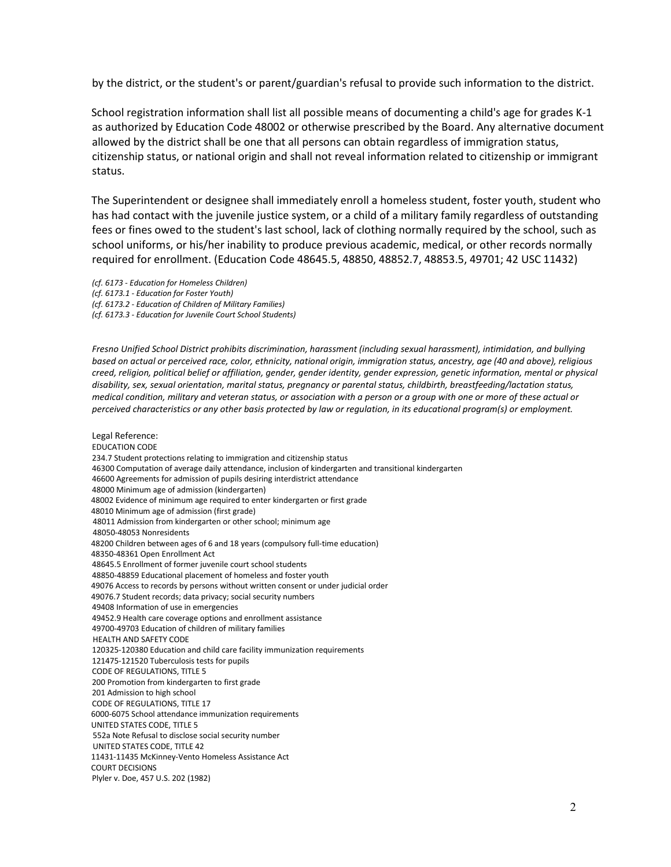by the district, or the student's or parent/guardian's refusal to provide such information to the district.

School registration information shall list all possible means of documenting a child's age for grades K-1 as authorized by Education Code 48002 or otherwise prescribed by the Board. Any alternative document allowed by the district shall be one that all persons can obtain regardless of immigration status, citizenship status, or national origin and shall not reveal information related to citizenship or immigrant status.

The Superintendent or designee shall immediately enroll a homeless student, foster youth, student who has had contact with the juvenile justice system, or a child of a military family regardless of outstanding fees or fines owed to the student's last school, lack of clothing normally required by the school, such as school uniforms, or his/her inability to produce previous academic, medical, or other records normally required for enrollment. (Education Code 48645.5, 48850, 48852.7, 48853.5, 49701; 42 USC 11432)

- *(cf. 6173 - Education for Homeless Children)*
- *(cf. 6173.1 - Education for Foster Youth)*
- *(cf. 6173.2 - Education of Children of Military Families)*
- *(cf. 6173.3 - Education for Juvenile Court School Students)*

*Fresno Unified School District prohibits discrimination, harassment (including sexual harassment), intimidation, and bullying based on actual or perceived race, color, ethnicity, national origin, immigration status, ancestry, age (40 and above), religious creed, religion, political belief or affiliation, gender, gender identity, gender expression, genetic information, mental or physical disability, sex, sexual orientation, marital status, pregnancy or parental status, childbirth, breastfeeding/lactation status, medical condition, military and veteran status, or association with a person or a group with one or more of these actual or perceived characteristics or any other basis protected by law or regulation, in its educational program(s) or employment.*

Legal Reference: EDUCATION CODE 234.7 Student protections relating to immigration and citizenship status 46300 Computation of average daily attendance, inclusion of kindergarten and transitional kindergarten 46600 Agreements for admission of pupils desiring interdistrict attendance 48000 Minimum age of admission (kindergarten) 48002 Evidence of minimum age required to enter kindergarten or first grade 48010 Minimum age of admission (first grade) 48011 Admission from kindergarten or other school; minimum age 48050-48053 Nonresidents 48200 Children between ages of 6 and 18 years (compulsory full-time education) 48350-48361 Open Enrollment Act 48645.5 Enrollment of former juvenile court school students 48850-48859 Educational placement of homeless and foster youth 49076 Access to records by persons without written consent or under judicial order 49076.7 Student records; data privacy; social security numbers 49408 Information of use in emergencies 49452.9 Health care coverage options and enrollment assistance 49700-49703 Education of children of military families HEALTH AND SAFETY CODE 120325-120380 Education and child care facility immunization requirements 121475-121520 Tuberculosis tests for pupils CODE OF REGULATIONS, TITLE 5 200 Promotion from kindergarten to first grade 201 Admission to high school CODE OF REGULATIONS, TITLE 17 6000-6075 School attendance immunization requirements UNITED STATES CODE, TITLE 5 552a Note Refusal to disclose social security number UNITED STATES CODE, TITLE 42 11431-11435 McKinney-Vento Homeless Assistance Act COURT DECISIONS Plyler v. Doe, 457 U.S. 202 (1982)